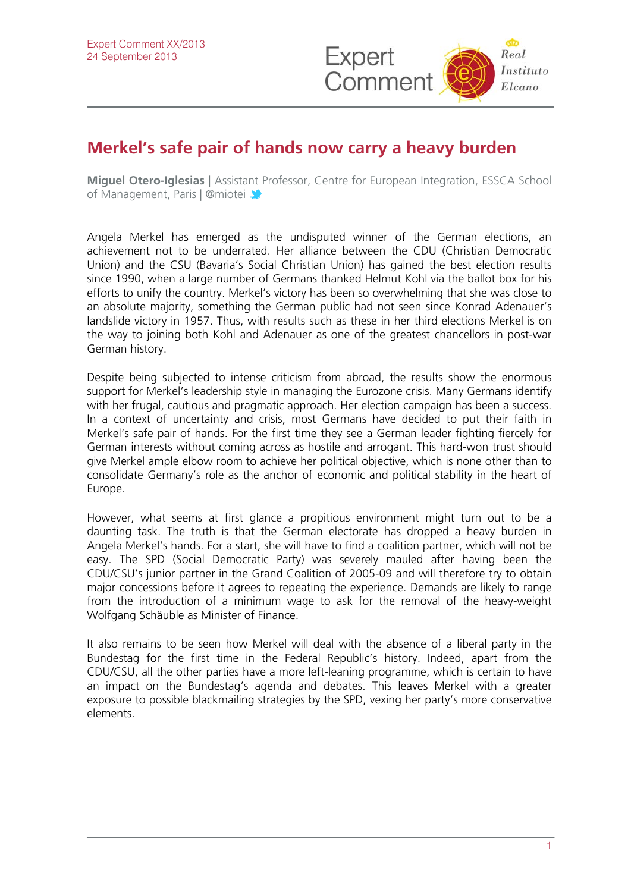

## **Merkel's safe pair of hands now carry a heavy burden**

**Miguel Otero-Iglesias** | Assist[ant P](http://twitter.com/rielcano)rofessor, Centre for European Integration, ESSCA School of Management, Paris | @miotei

Angela Merkel has emerged as the undisputed winner of the German elections, an achievement not to be underrated. Her alliance between the CDU (Christian Democratic Union) and the CSU (Bavaria's Social Christian Union) has gained the best election results since 1990, when a large number of Germans thanked Helmut Kohl via the ballot box for his efforts to unify the country. Merkel's victory has been so overwhelming that she was close to an absolute majority, something the German public had not seen since Konrad Adenauer's landslide victory in 1957. Thus, with results such as these in her third elections Merkel is on the way to joining both Kohl and Adenauer as one of the greatest chancellors in post-war German history.

Despite being subjected to intense criticism from abroad, the results show the enormous support for Merkel's leadership style in managing the Eurozone crisis. Many Germans identify with her frugal, cautious and pragmatic approach. Her election campaign has been a success. In a context of uncertainty and crisis, most Germans have decided to put their faith in Merkel's safe pair of hands. For the first time they see a German leader fighting fiercely for German interests without coming across as hostile and arrogant. This hard-won trust should give Merkel ample elbow room to achieve her political objective, which is none other than to consolidate Germany's role as the anchor of economic and political stability in the heart of Europe.

However, what seems at first glance a propitious environment might turn out to be a daunting task. The truth is that the German electorate has dropped a heavy burden in Angela Merkel's hands. For a start, she will have to find a coalition partner, which will not be easy. The SPD (Social Democratic Party) was severely mauled after having been the CDU/CSU's junior partner in the Grand Coalition of 2005-09 and will therefore try to obtain major concessions before it agrees to repeating the experience. Demands are likely to range from the introduction of a minimum wage to ask for the removal of the heavy-weight Wolfgang Schäuble as Minister of Finance.

It also remains to be seen how Merkel will deal with the absence of a liberal party in the Bundestag for the first time in the Federal Republic's history. Indeed, apart from the CDU/CSU, all the other parties have a more left-leaning programme, which is certain to have an impact on the Bundestag's agenda and debates. This leaves Merkel with a greater exposure to possible blackmailing strategies by the SPD, vexing her party's more conservative elements.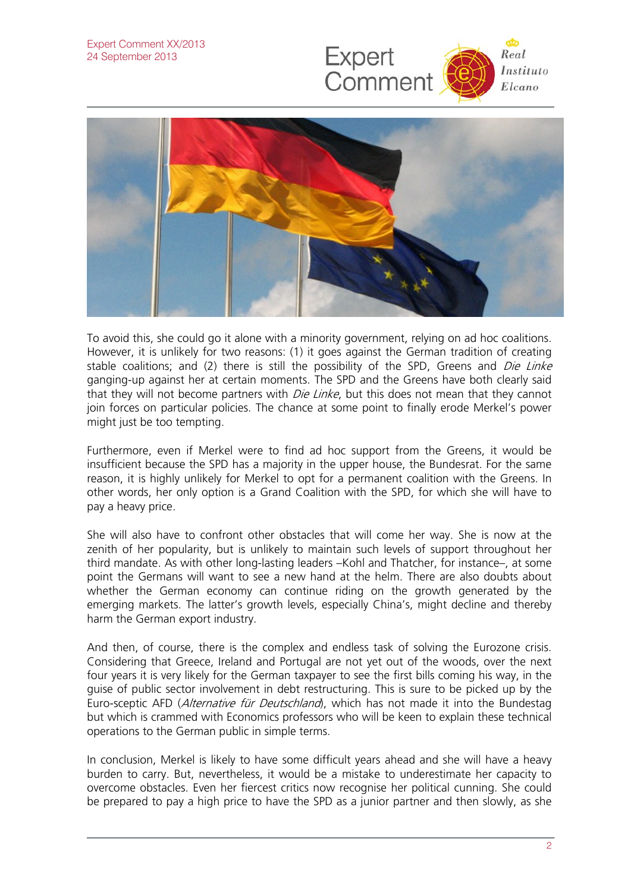



To avoid this, she could go it alone with a minority government, relying on ad hoc coalitions. However, it is unlikely for two reasons: (1) it goes against the German tradition of creating stable coalitions; and (2) there is still the possibility of the SPD, Greens and *Die Linke* ganging-up against her at certain moments. The SPD and the Greens have both clearly said that they will not become partners with *Die Linke*, but this does not mean that they cannot join forces on particular policies. The chance at some point to finally erode Merkel's power might just be too tempting.

Furthermore, even if Merkel were to find ad hoc support from the Greens, it would be insufficient because the SPD has a majority in the upper house, the Bundesrat. For the same reason, it is highly unlikely for Merkel to opt for a permanent coalition with the Greens. In other words, her only option is a Grand Coalition with the SPD, for which she will have to pay a heavy price.

She will also have to confront other obstacles that will come her way. She is now at the zenith of her popularity, but is unlikely to maintain such levels of support throughout her third mandate. As with other long-lasting leaders –Kohl and Thatcher, for instance–, at some point the Germans will want to see a new hand at the helm. There are also doubts about whether the German economy can continue riding on the growth generated by the emerging markets. The latter's growth levels, especially China's, might decline and thereby harm the German export industry.

And then, of course, there is the complex and endless task of solving the Eurozone crisis. Considering that Greece, Ireland and Portugal are not yet out of the woods, over the next four years it is very likely for the German taxpayer to see the first bills coming his way, in the guise of public sector involvement in debt restructuring. This is sure to be picked up by the Euro-sceptic AFD (Alternative für Deutschland), which has not made it into the Bundestag but which is crammed with Economics professors who will be keen to explain these technical operations to the German public in simple terms.

In conclusion, Merkel is likely to have some difficult years ahead and she will have a heavy burden to carry. But, nevertheless, it would be a mistake to underestimate her capacity to overcome obstacles. Even her fiercest critics now recognise her political cunning. She could be prepared to pay a high price to have the SPD as a junior partner and then slowly, as she